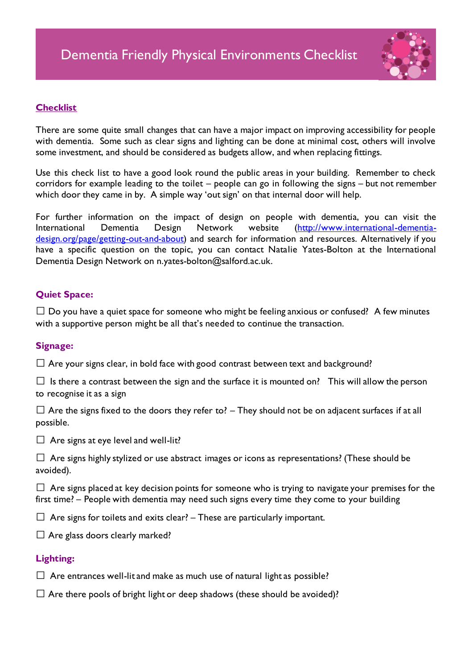

# **Checklist**

There are some quite small changes that can have a major impact on improving accessibility for people with dementia. Some such as clear signs and lighting can be done at minimal cost, others will involve some investment, and should be considered as budgets allow, and when replacing fittings.

Use this check list to have a good look round the public areas in your building. Remember to check corridors for example leading to the toilet – people can go in following the signs – but not remember which door they came in by. A simple way 'out sign' on that internal door will help.

For further information on the impact of design on people with dementia, you can visit the International Dementia Design Network website ([http://www.international-dementia](http://www.international-dementia-design.org/page/getting-out-and-about)[design.org/page/getting-out-and-about](http://www.international-dementia-design.org/page/getting-out-and-about)) and search for information and resources. Alternatively if you have a specific question on the topic, you can contact Natalie Yates-Bolton at the International Dementia Design Network on n.yates-bolton@salford.ac.uk.

# **Quiet Space:**

 $\Box$  Do you have a quiet space for someone who might be feeling anxious or confused? A few minutes with a supportive person might be all that's needed to continue the transaction.

## **Signage:**

 $\Box$  Are your signs clear, in bold face with good contrast between text and background?

 $\square$  Is there a contrast between the sign and the surface it is mounted on? This will allow the person to recognise it as a sign

 $\Box$  Are the signs fixed to the doors they refer to? – They should not be on adjacent surfaces if at all possible.

 $\Box$  Are signs at eye level and well-lit?

 $\Box$  Are signs highly stylized or use abstract images or icons as representations? (These should be avoided).

 $\Box$  Are signs placed at key decision points for someone who is trying to navigate your premises for the first time? – People with dementia may need such signs every time they come to your building

 $\Box$  Are signs for toilets and exits clear? – These are particularly important.

 $\Box$  Are glass doors clearly marked?

## **Lighting:**

 $\Box$  Are entrances well-lit and make as much use of natural light as possible?

 $\Box$  Are there pools of bright light or deep shadows (these should be avoided)?